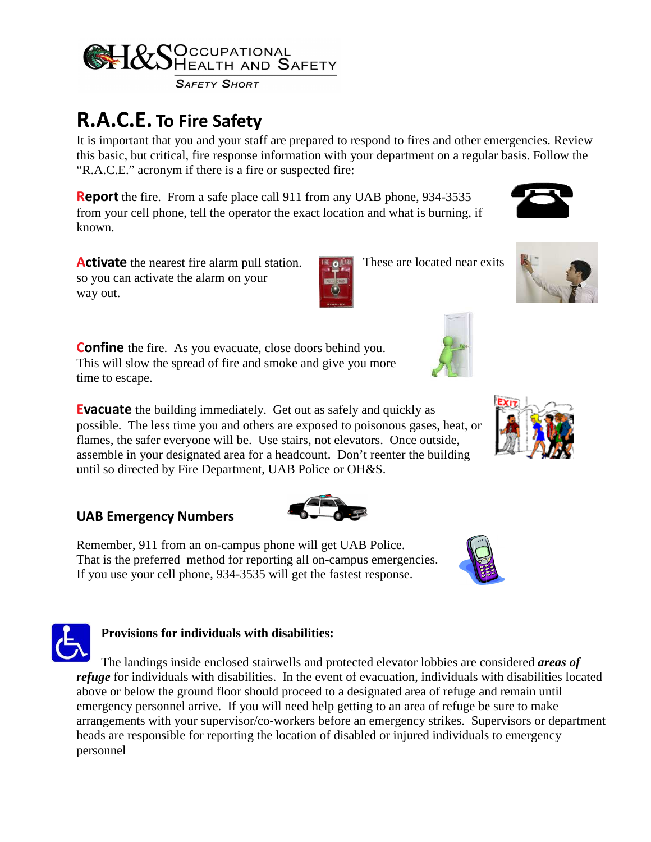

**SAFETY SHORT** 

## **R.A.C.E. To Fire Safety**

It is important that you and your staff are prepared to respond to fires and other emergencies. Review It is important that you and your staff are prepared to respond to fires and other emergencies. Review<br>this basic, but critical, fire response information with your department on a regular basis. Follow the "R.A.C.E." acronym if there is a fire or suspected fire: regular basis.<br>35<br>g, if<br>ear exits

**Report** the fire. From a safe place call 911 from any UAB phone, 934-3535 from your cell phone, tell the operator the exact location and what is burning, if known.

**Activate** the nearest fire alarm pull station. so you can activate the alarm on your way out.

**Confine** the fire. As you evacuate, close doors behind you. This will slow the spread of fire and smoke and give you more time to escape.

**Evacuate** the building immediately. Get out as safely and quickly as possible. The less time you and others are exposed to poisonous gases, heat, or possible. The less time you and others are exposed to poisonous gases, heat flames, the safer everyone will be. Use stairs, not elevators. Once outside, assemble in your designated area for a headcount. Don't reenter the building until so directed by Fire Department, UAB Police or OH&S.

## **UAB Emergency Numbers**

Remember, 911 from an on-campus phone will get UAB Police. That is the preferred method for reporting all on-campus emergencies.<br>That is the preferred method for reporting all on-campus emergencies. If you use your cell phone, 934-3535 will get the fastest response. 3535



## **Provisions for individuals with disabilities: with**

The landings inside enclosed stairwells and protected elevator lobbies are considered *areas of* refuge for individuals with disabilities. In the event of evacuation, individuals with disabilities located above or below the ground floor should proceed to a designated area of refuge and remain until refuge for individuals with disabilities. In the event of evacuation, individuals with disabilities above or below the ground floor should proceed to a designated area of refuge and remain until<br>emergency personnel arrive. arrangements with your supervisor/co-workers before an emergency strikes. Supervisors or department heads are responsible for reporting the location of disabled or injured individuals to emergency personnel



These are located near exits